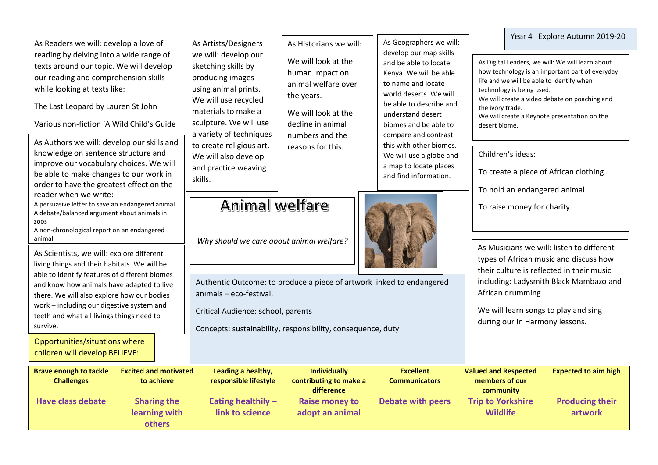| <b>Brave enough to tackle</b>                                                                                                                                                                                                                                                                                                    | <b>Excited and motivated</b>                                                                                                                                                                                                                                                                                                                                                                  |  | Leading a healthy,                                                                                                                                                                                                                              | <b>Individually</b>                                                                                                                                                                       | <b>Excellent</b>                                                                                                                                                                                                                                                                                                                                               | <b>Valued and Respected</b>                                                       |                                                                                                                                                                                                                                | <b>Expected to aim high</b>   |  |
|----------------------------------------------------------------------------------------------------------------------------------------------------------------------------------------------------------------------------------------------------------------------------------------------------------------------------------|-----------------------------------------------------------------------------------------------------------------------------------------------------------------------------------------------------------------------------------------------------------------------------------------------------------------------------------------------------------------------------------------------|--|-------------------------------------------------------------------------------------------------------------------------------------------------------------------------------------------------------------------------------------------------|-------------------------------------------------------------------------------------------------------------------------------------------------------------------------------------------|----------------------------------------------------------------------------------------------------------------------------------------------------------------------------------------------------------------------------------------------------------------------------------------------------------------------------------------------------------------|-----------------------------------------------------------------------------------|--------------------------------------------------------------------------------------------------------------------------------------------------------------------------------------------------------------------------------|-------------------------------|--|
| children will develop BELIEVE:                                                                                                                                                                                                                                                                                                   |                                                                                                                                                                                                                                                                                                                                                                                               |  |                                                                                                                                                                                                                                                 |                                                                                                                                                                                           |                                                                                                                                                                                                                                                                                                                                                                |                                                                                   |                                                                                                                                                                                                                                |                               |  |
| living things and their habitats. We will be<br>able to identify features of different biomes<br>and know how animals have adapted to live<br>there. We will also explore how our bodies<br>work - including our digestive system and<br>teeth and what all livings things need to<br>survive.<br>Opportunities/situations where |                                                                                                                                                                                                                                                                                                                                                                                               |  | Authentic Outcome: to produce a piece of artwork linked to endangered<br>animals - eco-festival.<br>Critical Audience: school, parents<br>Concepts: sustainability, responsibility, consequence, duty                                           |                                                                                                                                                                                           |                                                                                                                                                                                                                                                                                                                                                                |                                                                                   | types of African music and discuss how<br>their culture is reflected in their music<br>including: Ladysmith Black Mambazo and<br>African drumming.<br>We will learn songs to play and sing<br>during our In Harmony lessons.   |                               |  |
| animal                                                                                                                                                                                                                                                                                                                           | As Scientists, we will: explore different                                                                                                                                                                                                                                                                                                                                                     |  | Why should we care about animal welfare?                                                                                                                                                                                                        |                                                                                                                                                                                           |                                                                                                                                                                                                                                                                                                                                                                | As Musicians we will: listen to different                                         |                                                                                                                                                                                                                                |                               |  |
| zoos                                                                                                                                                                                                                                                                                                                             | As Authors we will: develop our skills and<br>knowledge on sentence structure and<br>improve our vocabulary choices. We will<br>be able to make changes to our work in<br>order to have the greatest effect on the<br>reader when we write:<br>A persuasive letter to save an endangered animal<br>A debate/balanced argument about animals in<br>A non-chronological report on an endangered |  | Animal welfare                                                                                                                                                                                                                                  |                                                                                                                                                                                           | To raise money for charity.                                                                                                                                                                                                                                                                                                                                    |                                                                                   |                                                                                                                                                                                                                                |                               |  |
|                                                                                                                                                                                                                                                                                                                                  |                                                                                                                                                                                                                                                                                                                                                                                               |  | We will also develop<br>and practice weaving<br>skills.                                                                                                                                                                                         | As Historians we will:<br>We will look at the<br>human impact on<br>animal welfare over<br>the years.<br>We will look at the<br>decline in animal<br>numbers and the<br>reasons for this. | As Geographers we will:<br>develop our map skills<br>and be able to locate<br>Kenya. We will be able<br>to name and locate<br>world deserts. We will<br>be able to describe and<br>understand desert<br>biomes and be able to<br>compare and contrast<br>this with other biomes.<br>We will use a globe and<br>a map to locate places<br>and find information. | To create a piece of African clothing.<br>To hold an endangered animal.           |                                                                                                                                                                                                                                |                               |  |
|                                                                                                                                                                                                                                                                                                                                  |                                                                                                                                                                                                                                                                                                                                                                                               |  | As Artists/Designers<br>we will: develop our<br>sketching skills by<br>producing images<br>using animal prints.<br>We will use recycled<br>materials to make a<br>sculpture. We will use<br>a variety of techniques<br>to create religious art. |                                                                                                                                                                                           |                                                                                                                                                                                                                                                                                                                                                                | Children's ideas:                                                                 |                                                                                                                                                                                                                                |                               |  |
| reading by delving into a wide range of<br>texts around our topic. We will develop<br>our reading and comprehension skills<br>while looking at texts like:<br>The Last Leopard by Lauren St John<br>Various non-fiction 'A Wild Child's Guide                                                                                    |                                                                                                                                                                                                                                                                                                                                                                                               |  |                                                                                                                                                                                                                                                 |                                                                                                                                                                                           |                                                                                                                                                                                                                                                                                                                                                                | the ivory trade.<br>We will create a Keynote presentation on the<br>desert biome. |                                                                                                                                                                                                                                |                               |  |
|                                                                                                                                                                                                                                                                                                                                  |                                                                                                                                                                                                                                                                                                                                                                                               |  |                                                                                                                                                                                                                                                 |                                                                                                                                                                                           |                                                                                                                                                                                                                                                                                                                                                                |                                                                                   | As Digital Leaders, we will: We will learn about<br>how technology is an important part of everyday<br>life and we will be able to identify when<br>technology is being used.<br>We will create a video debate on poaching and |                               |  |
|                                                                                                                                                                                                                                                                                                                                  | As Readers we will: develop a love of                                                                                                                                                                                                                                                                                                                                                         |  |                                                                                                                                                                                                                                                 |                                                                                                                                                                                           |                                                                                                                                                                                                                                                                                                                                                                |                                                                                   |                                                                                                                                                                                                                                | Year 4 Explore Autumn 2019-20 |  |

г

| <b>Brave enough to tackle</b> | <b>Excited and motivated</b> | Leading a healthy,    | <b>Individually</b>    | <b>Excellent</b>     | <b>Valued and Respected</b> | <b>Expected to aim high</b> |
|-------------------------------|------------------------------|-----------------------|------------------------|----------------------|-----------------------------|-----------------------------|
| <b>Challenges</b>             | to achieve                   | responsible lifestyle | contributing to make a | <b>Communicators</b> | members of our              |                             |
|                               |                              |                       | difference             |                      | community                   |                             |
| <b>Have class debate</b>      | <b>Sharing the</b>           | Eating healthily $-$  | <b>Raise money to</b>  | Debate with peers    | <b>Trip to Yorkshire</b>    | <b>Producing their</b>      |
|                               | learning with                | link to science       | adopt an animal        |                      | <b>Wildlife</b>             | artwork                     |
|                               | <b>others</b>                |                       |                        |                      |                             |                             |